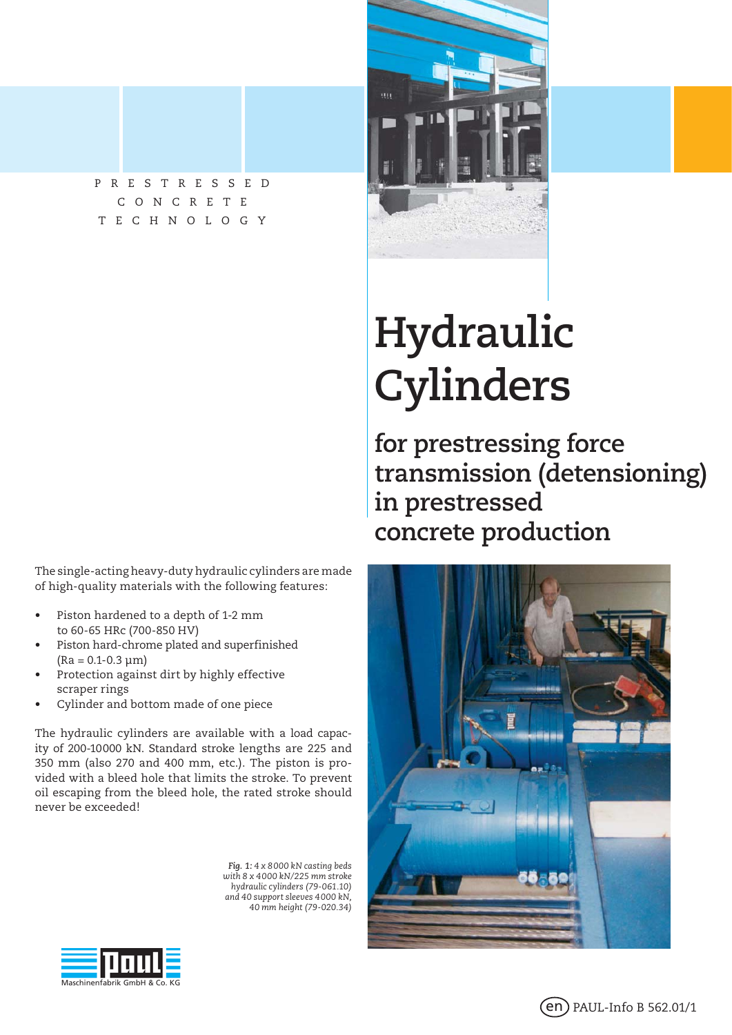

The single-acting heavy-duty hydraulic cylinders are made of high-quality materials with the following features:

- Piston hardened to a depth of 1-2 mm to 60-65 HRc (700-850 HV)
- Piston hard-chrome plated and superfinished  $(Ra = 0.1 - 0.3 \mu m)$
- Protection against dirt by highly effective scraper rings
- Cylinder and bottom made of one piece

The hydraulic cylinders are available with a load capacity of 200-10 000 kN. Standard stroke lengths are 225 and 350 mm (also 270 and 400 mm, etc.). The piston is provided with a bleed hole that limits the stroke. To prevent oil escaping from the bleed hole, the rated stroke should never be exceeded!

> *Fig. 1: 4 x 8 000 kN casting beds with 8 x 4 000 kN/225 mm stroke hydraulic cylinders (79-061.10) and 40 support sleeves 4 000 kN, 40 mm height (79-020.34)*



# **Hydraulic Cylinders**

**for prestressing force transmission (detensioning) in prestressed concrete production**





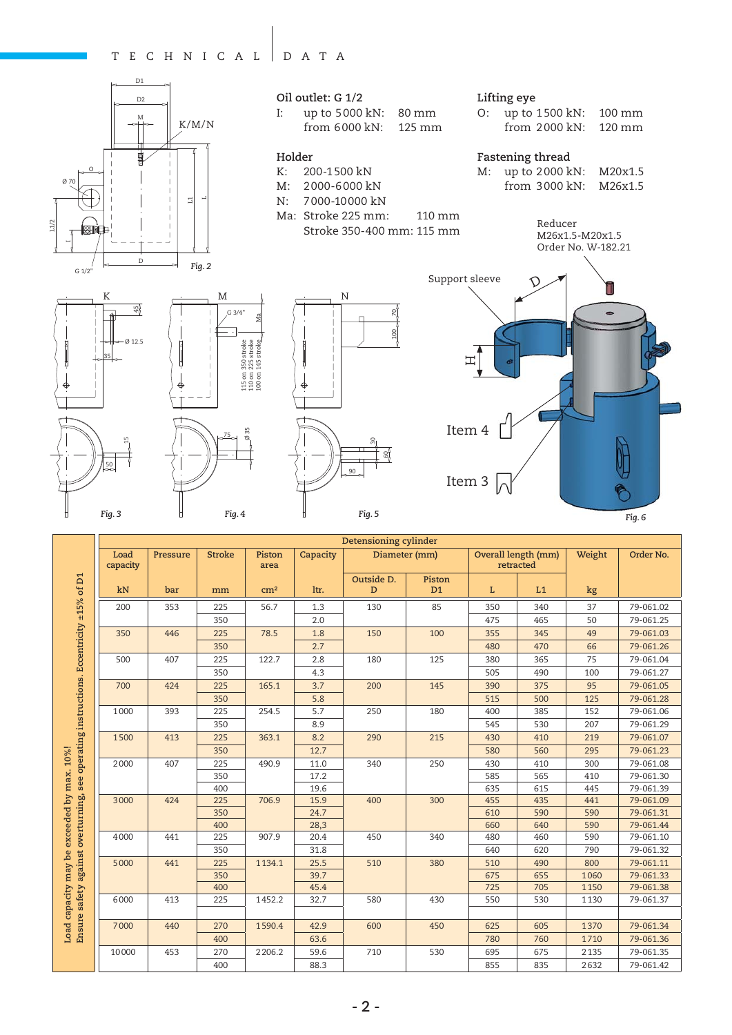#### TECHNICAL DATA





I: up to 5 000 kN: 80 mm from 6 000 kN: 125 mm

#### **Holder**

- K: 200-1 500 kN
- M: 2 000-6 000 kN
- N: 7 000-10 000 kN
- Ma: Stroke 225 mm: 110 mm Stroke 350-400 mm: 115 mm

#### **Lifting eye**

| O: up to 1500 kN: 100 mm                  |  |
|-------------------------------------------|--|
| from $2000 \text{ kN}$ : $120 \text{ mm}$ |  |

### **Fastening thread**

M: up to 2 000 kN: M20x1.5 from 3 000 kN: M26x1.5

Ø 12.5 45 35 50

K



 $C.3/4$ 

Ma





**Detensioning cylinder Load Pressure | Stroke | Piston** Capacity Diameter (mm) Overall length (mm) **Weight Order No. capacity area retracted** see operating instructions. Eccentricity ±15% of D1 **Ensure safety against overturning, see operating instructions. Eccentricity ±15% of D1 Outside D. Piston D kN bar mm cm² ltr. D1 L L1 kg** 200 | 353 | 225 | 56.7 | 1.3 | 130 | 85 | 350 | 340 | 37 | 79-061.02 350 2.0 475 465 50 79-061.25 350 | 446 | 225 | 78.5 | 1.8 | 150 | 100 | 355 | 345 | 49 | 79-061.03 350 2.7 480 470 66 79-061.26 500 407 225 122.7 2.8 180 125 380 365 75 79-061.04 350 4.3 505 490 100 79-061.27 700 | 424 | 225 | 165.1 | 3.7 | 200 | 145 | 390 | 375 | 95 | 79-061.05 350 | 5.8 | 5.8 | 515 | 500 | 125 | 79-061.28 1000 | 393 | 225 | 254.5 | 5.7 | 250 | 180 | 400 | 385 | 152 | 79-061.06 350 8.9 545 530 207 79-061.29 1 500 | 413 | 225 | 363.1 | 8.2 | 290 | 215 | 430 | 410 | 219 | 79-061.07 Load capacity may be exceeded by max. 10%! **Load capacity may be exceeded by max. 10%!** 350 12.7 580 560 295 79-061.23 2 000 407 225 490.9 11.0 340 250 430 410 300 79-061.08 350 17.2 585 565 410 79-061.30 400 | | 19.6 | | | | | | | | 635 | 615 | 445 | 79-061.39 against overturning, 3 000 424 225 706.9 15.9 400 300 455 435 441 79-061.09 350 24.7 610 590 590 79-061.31 400 | 28,3 | 300 | 660 | 640 | 590 | 79-061.44 4 000 | 441 | 225 | 907.9 | 20.4 | 450 | 340 | 480 | 460 | 590 | 79-061.10 350 31.8 640 620 790 79-061.32 5 000 441 225 1 134.1 25.5 510 380 510 490 800 79-061.11 350 39.7 675 655 1 060 79-061.33 Ensure safety 400 45.4 725 705 1 150 79-061.38 6 000 413 225 1 452.2 32.7 580 430 550 530 1 130 79-061.37 7 000 | 440 | 270 | 1590.4 | 42.9 | 600 | 450 | 625 | 605 | 1370 | 79-061.34 400 | 63.6 | 780 | 780 | 1710 | 79-061.36 10 000 453 270 2 206.2 59.6 710 530 695 675 2 135 79-061.35 400 | 88.3 | | | 855 | 835 | 2632 | 79-061.42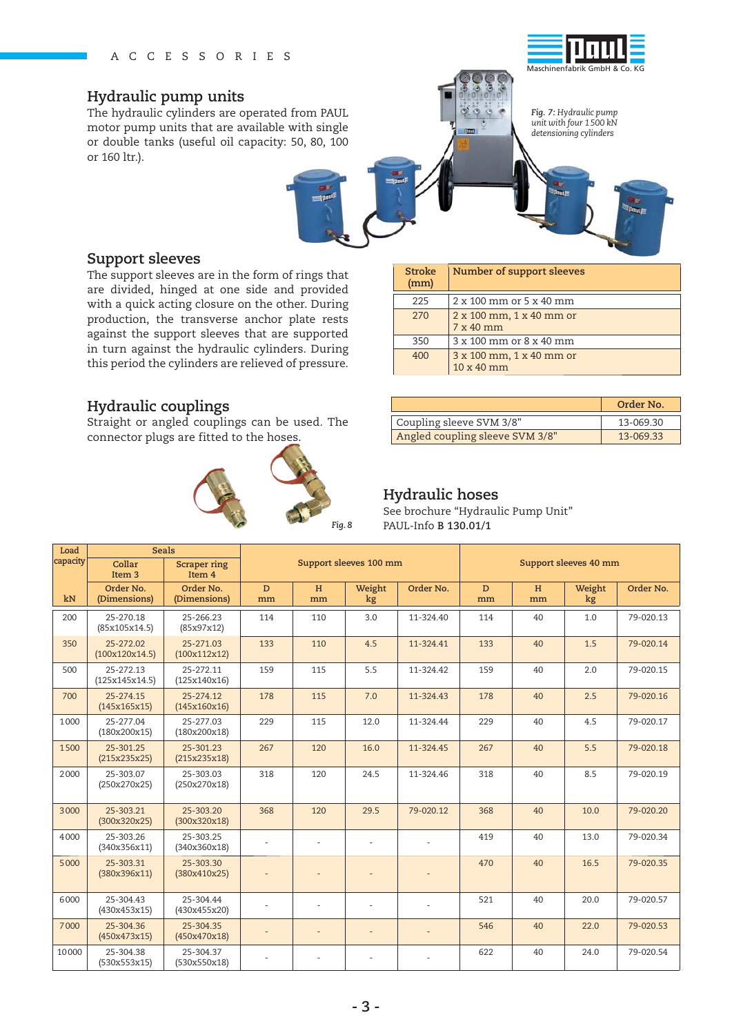### **Hydraulic pump units**

The hydraulic cylinders are operated from PAUL motor pump units that are available with single or double tanks (useful oil capacity: 50, 80, 100 or 160 ltr.).



*Fig. 7: Hydraulic pump unit with four 1 500 kN* 

*detensioning cylinders*

**Support sleeves**

The support sleeves are in the form of rings that are divided, hinged at one side and provided with a quick acting closure on the other. During production, the transverse anchor plate rests against the support sleeves that are supported in turn against the hydraulic cylinders. During this period the cylinders are relieved of pressure.

## **Hydraulic couplings**

Straight or angled couplings can be used. The connector plugs are fitted to the hoses.



| <b>Stroke</b><br>(mm) | Number of support sleeves              |  |  |  |  |  |  |
|-----------------------|----------------------------------------|--|--|--|--|--|--|
| 225                   | 2 x 100 mm or 5 x 40 mm                |  |  |  |  |  |  |
| 270                   | 2 x 100 mm, 1 x 40 mm or<br>$7x40$ mm  |  |  |  |  |  |  |
| 350                   | 3 x 100 mm or 8 x 40 mm                |  |  |  |  |  |  |
| 400                   | 3 x 100 mm, 1 x 40 mm or<br>10 x 40 mm |  |  |  |  |  |  |

|                                 | Order No. |
|---------------------------------|-----------|
| Coupling sleeve SVM 3/8"        | 13-069.30 |
| Angled coupling sleeve SVM 3/8" | 13-069.33 |

### **Hydraulic hoses**

See brochure "Hydraulic Pump Unit" *Fig. 8* PAUL-Info **B 130.01/1**

| Load     | Seals                       |                               |                              |         |              |                       |         |         |              |           |
|----------|-----------------------------|-------------------------------|------------------------------|---------|--------------|-----------------------|---------|---------|--------------|-----------|
| capacity | Collar<br>Item <sub>3</sub> | <b>Scraper ring</b><br>Item 4 | Support sleeves 100 mm       |         |              | Support sleeves 40 mm |         |         |              |           |
| kN       | Order No.<br>(Dimensions)   | Order No.<br>(Dimensions)     | D<br>mm                      | H<br>mm | Weight<br>kg | Order No.             | D<br>mm | H<br>mm | Weight<br>kg | Order No. |
| 200      | 25-270.18<br>(85x105x14.5)  | 25-266.23<br>(85x97x12)       | 114                          | 110     | 3.0          | 11-324.40             | 114     | 40      | 1.0          | 79-020.13 |
| 350      | 25-272.02<br>(100x120x14.5) | 25-271.03<br>(100x112x12)     | 133                          | 110     | 4.5          | 11-324.41             | 133     | 40      | 1.5          | 79-020.14 |
| 500      | 25-272.13<br>(125x145x14.5) | 25-272.11<br>(125x140x16)     | 159                          | 115     | 5.5          | 11-324.42             | 159     | 40      | 2.0          | 79-020.15 |
| 700      | 25-274.15<br>(145x165x15)   | 25-274.12<br>(145x160x16)     | 178                          | 115     | 7.0          | 11-324.43             | 178     | 40      | 2.5          | 79-020.16 |
| 1000     | 25-277.04<br>(180x200x15)   | 25-277.03<br>(180x200x18)     | 229                          | 115     | 12.0         | 11-324.44             | 229     | 40      | 4.5          | 79-020.17 |
| 1500     | 25-301.25<br>(215x235x25)   | 25-301.23<br>(215x235x18)     | 267                          | 120     | 16.0         | 11-324.45             | 267     | 40      | 5.5          | 79-020.18 |
| 2000     | 25-303.07<br>(250x270x25)   | 25-303.03<br>(250x270x18)     | 318                          | 120     | 24.5         | 11-324.46             | 318     | 40      | 8.5          | 79-020.19 |
| 3000     | 25-303.21<br>(300x320x25)   | 25-303.20<br>(300x320x18)     | 368                          | 120     | 29.5         | 79-020.12             | 368     | 40      | 10.0         | 79-020.20 |
| 4000     | 25-303.26<br>(340x356x11)   | 25-303.25<br>(340x360x18)     |                              | ÷,      |              |                       | 419     | 40      | 13.0         | 79-020.34 |
| 5000     | 25-303.31<br>(380x396x11)   | 25-303.30<br>(380x410x25)     | $\overline{\phantom{a}}$     |         |              |                       | 470     | 40      | 16.5         | 79-020.35 |
| 6000     | 25-304.43<br>(430x453x15)   | 25-304.44<br>(430x455x20)     |                              | ÷.      |              |                       | 521     | 40      | 20.0         | 79-020.57 |
| 7000     | 25-304.36<br>(450x473x15)   | 25-304.35<br>(450x470x18)     | $\qquad \qquad \blacksquare$ | ÷       |              |                       | 546     | 40      | 22.0         | 79-020.53 |
| 10000    | 25-304.38<br>(530x553x15)   | 25-304.37<br>(530x550x18)     |                              |         |              |                       | 622     | 40      | 24.0         | 79-020.54 |